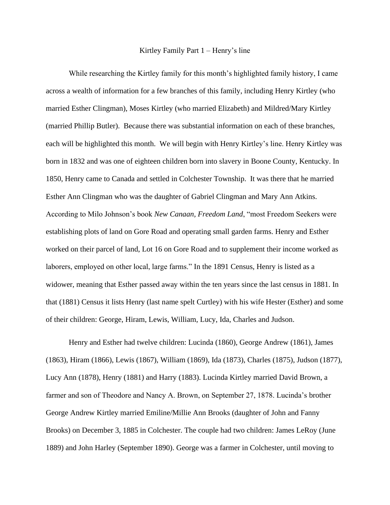## Kirtley Family Part 1 – Henry's line

While researching the Kirtley family for this month's highlighted family history, I came across a wealth of information for a few branches of this family, including Henry Kirtley (who married Esther Clingman), Moses Kirtley (who married Elizabeth) and Mildred/Mary Kirtley (married Phillip Butler). Because there was substantial information on each of these branches, each will be highlighted this month. We will begin with Henry Kirtley's line. Henry Kirtley was born in 1832 and was one of eighteen children born into slavery in Boone County, Kentucky. In 1850, Henry came to Canada and settled in Colchester Township. It was there that he married Esther Ann Clingman who was the daughter of Gabriel Clingman and Mary Ann Atkins. According to Milo Johnson's book *New Canaan, Freedom Land*, "most Freedom Seekers were establishing plots of land on Gore Road and operating small garden farms. Henry and Esther worked on their parcel of land, Lot 16 on Gore Road and to supplement their income worked as laborers, employed on other local, large farms." In the 1891 Census, Henry is listed as a widower, meaning that Esther passed away within the ten years since the last census in 1881. In that (1881) Census it lists Henry (last name spelt Curtley) with his wife Hester (Esther) and some of their children: George, Hiram, Lewis, William, Lucy, Ida, Charles and Judson.

Henry and Esther had twelve children: Lucinda (1860), George Andrew (1861), James (1863), Hiram (1866), Lewis (1867), William (1869), Ida (1873), Charles (1875), Judson (1877), Lucy Ann (1878), Henry (1881) and Harry (1883). Lucinda Kirtley married David Brown, a farmer and son of Theodore and Nancy A. Brown, on September 27, 1878. Lucinda's brother George Andrew Kirtley married Emiline/Millie Ann Brooks (daughter of John and Fanny Brooks) on December 3, 1885 in Colchester. The couple had two children: James LeRoy (June 1889) and John Harley (September 1890). George was a farmer in Colchester, until moving to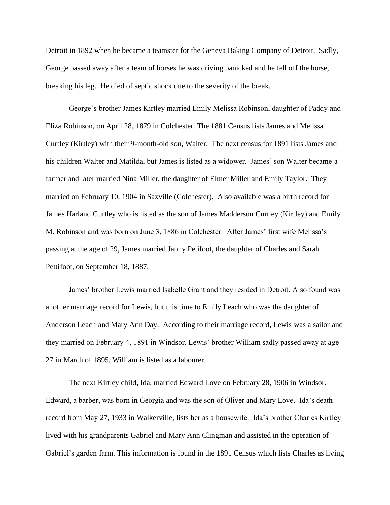Detroit in 1892 when he became a teamster for the Geneva Baking Company of Detroit. Sadly, George passed away after a team of horses he was driving panicked and he fell off the horse, breaking his leg. He died of septic shock due to the severity of the break.

George's brother James Kirtley married Emily Melissa Robinson, daughter of Paddy and Eliza Robinson, on April 28, 1879 in Colchester. The 1881 Census lists James and Melissa Curtley (Kirtley) with their 9-month-old son, Walter. The next census for 1891 lists James and his children Walter and Matilda, but James is listed as a widower. James' son Walter became a farmer and later married Nina Miller, the daughter of Elmer Miller and Emily Taylor. They married on February 10, 1904 in Saxville (Colchester). Also available was a birth record for James Harland Curtley who is listed as the son of James Madderson Curtley (Kirtley) and Emily M. Robinson and was born on June 3, 1886 in Colchester. After James' first wife Melissa's passing at the age of 29, James married Janny Petifoot, the daughter of Charles and Sarah Pettifoot, on September 18, 1887.

James' brother Lewis married Isabelle Grant and they resided in Detroit. Also found was another marriage record for Lewis, but this time to Emily Leach who was the daughter of Anderson Leach and Mary Ann Day. According to their marriage record, Lewis was a sailor and they married on February 4, 1891 in Windsor. Lewis' brother William sadly passed away at age 27 in March of 1895. William is listed as a labourer.

The next Kirtley child, Ida, married Edward Love on February 28, 1906 in Windsor. Edward, a barber, was born in Georgia and was the son of Oliver and Mary Love. Ida's death record from May 27, 1933 in Walkerville, lists her as a housewife. Ida's brother Charles Kirtley lived with his grandparents Gabriel and Mary Ann Clingman and assisted in the operation of Gabriel's garden farm. This information is found in the 1891 Census which lists Charles as living